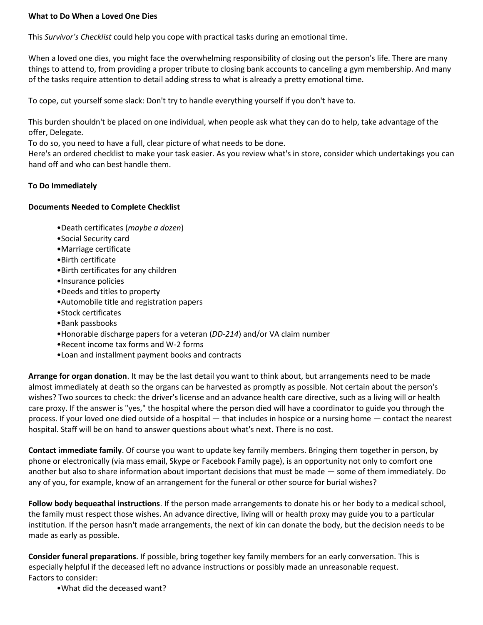## **What to Do When a Loved One Dies**

This *Survivor's Checklist* could help you cope with practical tasks during an emotional time.

When a loved one dies, you might face the overwhelming responsibility of closing out the person's life. There are many things to attend to, from providing a proper tribute to closing bank accounts to canceling a gym membership. And many of the tasks require attention to detail adding stress to what is already a pretty emotional time.

To cope, cut yourself some slack: Don't try to handle everything yourself if you don't have to.

This burden shouldn't be placed on one individual, when people ask what they can do to help, take advantage of the offer, Delegate.

To do so, you need to have a full, clear picture of what needs to be done.

Here's an ordered checklist to make your task easier. As you review what's in store, consider which undertakings you can hand off and who can best handle them.

## **To Do Immediately**

## **Documents Needed to Complete Checklist**

- •Death certificates (*maybe a dozen*)
- •Social Security card
- •Marriage certificate
- •Birth certificate
- •Birth certificates for any children
- •Insurance policies
- •Deeds and titles to property
- •Automobile title and registration papers
- •Stock certificates
- •Bank passbooks
- •Honorable discharge papers for a veteran (*DD-214*) and/or VA claim number
- •Recent income tax forms and W-2 forms
- •Loan and installment payment books and contracts

**Arrange for organ donation**. It may be the last detail you want to think about, but arrangements need to be made almost immediately at death so the organs can be harvested as promptly as possible. Not certain about the person's wishes? Two sources to check: the driver's license and an advance health care directive, such as a living will or health care proxy. If the answer is "yes," the hospital where the person died will have a coordinator to guide you through the process. If your loved one died outside of a hospital — that includes in hospice or a nursing home — contact the nearest hospital. Staff will be on hand to answer questions about what's next. There is no cost.

**Contact immediate family**. Of course you want to update key family members. Bringing them together in person, by phone or electronically (via mass email, Skype or Facebook Family page), is an opportunity not only to comfort one another but also to share information about important decisions that must be made — some of them immediately. Do any of you, for example, know of an arrangement for the funeral or other source for burial wishes?

**Follow body bequeathal instructions**. If the person made arrangements to donate his or her body to a medical school, the family must respect those wishes. An advance directive, living will or health proxy may guide you to a particular institution. If the person hasn't made arrangements, the next of kin can donate the body, but the decision needs to be made as early as possible.

**Consider funeral preparations**. If possible, bring together key family members for an early conversation. This is especially helpful if the deceased left no advance instructions or possibly made an unreasonable request. Factors to consider:

•What did the deceased want?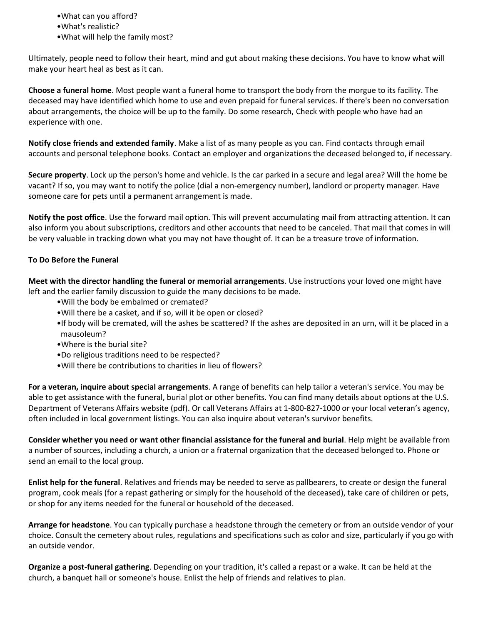- •What can you afford?
- •What's realistic?
- •What will help the family most?

Ultimately, people need to follow their heart, mind and gut about making these decisions. You have to know what will make your heart heal as best as it can.

**Choose a funeral home**. Most people want a funeral home to transport the body from the morgue to its facility. The deceased may have identified which home to use and even prepaid for funeral services. If there's been no conversation about arrangements, the choice will be up to the family. Do some research, Check with people who have had an experience with one.

**Notify close friends and extended family**. Make a list of as many people as you can. Find contacts through email accounts and personal telephone books. Contact an employer and organizations the deceased belonged to, if necessary.

**Secure property**. Lock up the person's home and vehicle. Is the car parked in a secure and legal area? Will the home be vacant? If so, you may want to notify the police (dial a non-emergency number), landlord or property manager. Have someone care for pets until a permanent arrangement is made.

**Notify the post office**. Use the forward mail option. This will prevent accumulating mail from attracting attention. It can also inform you about subscriptions, creditors and other accounts that need to be canceled. That mail that comes in will be very valuable in tracking down what you may not have thought of. It can be a treasure trove of information.

## **To Do Before the Funeral**

**Meet with the director handling the funeral or memorial arrangements**. Use instructions your loved one might have left and the earlier family discussion to guide the many decisions to be made.

- •Will the body be embalmed or cremated?
- •Will there be a casket, and if so, will it be open or closed?
- •If body will be cremated, will the ashes be scattered? If the ashes are deposited in an urn, will it be placed in a mausoleum?
- •Where is the burial site?
- •Do religious traditions need to be respected?
- •Will there be contributions to charities in lieu of flowers?

**For a veteran, inquire about special arrangements**. A range of benefits can help tailor a veteran's service. You may be able to get assistance with the funeral, burial plot or other benefits. You can find many details about options at the U.S. Department of Veterans Affairs website (pdf). Or call Veterans Affairs at 1-800-827-1000 or your local veteran's agency, often included in local government listings. You can also inquire about veteran's survivor benefits.

**Consider whether you need or want other financial assistance for the funeral and burial**. Help might be available from a number of sources, including a church, a union or a fraternal organization that the deceased belonged to. Phone or send an email to the local group.

**Enlist help for the funeral**. Relatives and friends may be needed to serve as pallbearers, to create or design the funeral program, cook meals (for a repast gathering or simply for the household of the deceased), take care of children or pets, or shop for any items needed for the funeral or household of the deceased.

**Arrange for headstone**. You can typically purchase a headstone through the cemetery or from an outside vendor of your choice. Consult the cemetery about rules, regulations and specifications such as color and size, particularly if you go with an outside vendor.

**Organize a post-funeral gathering**. Depending on your tradition, it's called a repast or a wake. It can be held at the church, a banquet hall or someone's house. Enlist the help of friends and relatives to plan.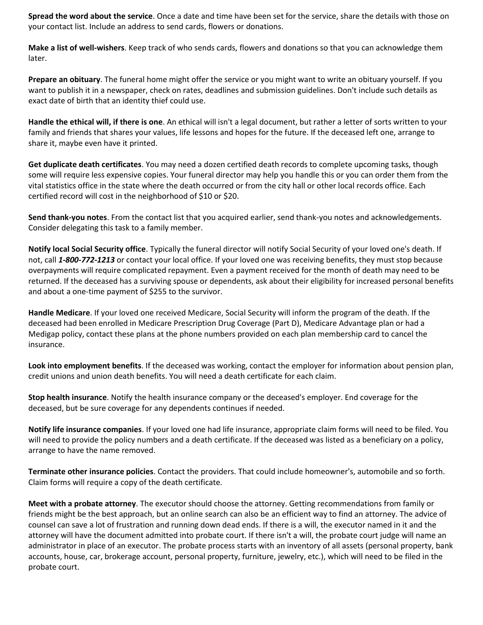**Spread the word about the service**. Once a date and time have been set for the service, share the details with those on your contact list. Include an address to send cards, flowers or donations.

**Make a list of well-wishers**. Keep track of who sends cards, flowers and donations so that you can acknowledge them later.

**Prepare an obituary**. The funeral home might offer the service or you might want to write an obituary yourself. If you want to publish it in a newspaper, check on rates, deadlines and submission guidelines. Don't include such details as exact date of birth that an identity thief could use.

**Handle the ethical will, if there is one**. An ethical will isn't a legal document, but rather a letter of sorts written to your family and friends that shares your values, life lessons and hopes for the future. If the deceased left one, arrange to share it, maybe even have it printed.

**Get duplicate death certificates**. You may need a dozen certified death records to complete upcoming tasks, though some will require less expensive copies. Your funeral director may help you handle this or you can order them from the vital statistics office in the state where the death occurred or from the city hall or other local records office. Each certified record will cost in the neighborhood of \$10 or \$20.

**Send thank-you notes**. From the contact list that you acquired earlier, send thank-you notes and acknowledgements. Consider delegating this task to a family member.

**Notify local Social Security office**. Typically the funeral director will notify Social Security of your loved one's death. If not, call *1-800-772-1213* or contact your local office. If your loved one was receiving benefits, they must stop because overpayments will require complicated repayment. Even a payment received for the month of death may need to be returned. If the deceased has a surviving spouse or dependents, ask about their eligibility for increased personal benefits and about a one-time payment of \$255 to the survivor.

**Handle Medicare**. If your loved one received Medicare, Social Security will inform the program of the death. If the deceased had been enrolled in Medicare Prescription Drug Coverage (Part D), Medicare Advantage plan or had a Medigap policy, contact these plans at the phone numbers provided on each plan membership card to cancel the insurance.

**Look into employment benefits**. If the deceased was working, contact the employer for information about pension plan, credit unions and union death benefits. You will need a death certificate for each claim.

**Stop health insurance**. Notify the health insurance company or the deceased's employer. End coverage for the deceased, but be sure coverage for any dependents continues if needed.

**Notify life insurance companies**. If your loved one had life insurance, appropriate claim forms will need to be filed. You will need to provide the policy numbers and a death certificate. If the deceased was listed as a beneficiary on a policy, arrange to have the name removed.

**Terminate other insurance policies**. Contact the providers. That could include homeowner's, automobile and so forth. Claim forms will require a copy of the death certificate.

**Meet with a probate attorney**. The executor should choose the attorney. Getting recommendations from family or friends might be the best approach, but an online search can also be an efficient way to find an attorney. The advice of counsel can save a lot of frustration and running down dead ends. If there is a will, the executor named in it and the attorney will have the document admitted into probate court. If there isn't a will, the probate court judge will name an administrator in place of an executor. The probate process starts with an inventory of all assets (personal property, bank accounts, house, car, brokerage account, personal property, furniture, jewelry, etc.), which will need to be filed in the probate court.